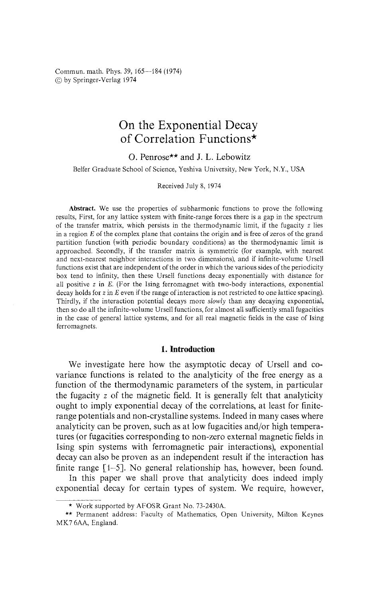Commun. math. Phys. 39, 165—184 (1974) © by Springer-Verlag 1974

# On the Exponential Decay of Correlation Functions\*

O. Penrose\*\* and J. L. Lebowitz

Belfer Graduate School of Science, Yeshiva University, New York, N.Y., USA

Received July 8, 1974

**Abstract.** We use the properties of subharmonic functions to prove the following results, First, for any lattice system with finite-range forces there is a gap in the spectrum of the transfer matrix, which persists in the thermodynamic limit, if the fugacity z lies in a region *E* of the complex plane that contains the origin and is free of zeros of the grand partition function (with periodic boundary conditions) as the thermodynamic limit is approached. Secondly, if the transfer matrix is symmetric (for example, with nearest and next-nearest neighbor interactions in two dimensions), and if infinite-volume Ursell functions exist that are independent of the order in which the various sides of the periodicity box tend to infinity, then these Ursell functions decay exponentially with distance for all positive z in *E.* (For the Ising ferromagnet with two-body interactions, exponential decay holds for z in *E* even if the range of interaction is not restricted to one lattice spacing). Thirdly, if the interaction potential decays more *slowly* than any decaying exponential, then so do all the infinite-volume Ursell functions, for almost all sufficiently small fugacities in the case of general lattice systems, and for all real magnetic fields in the case of Ising ferromagnets.

# **1. Introduction**

We investigate here how the asymptotic decay of Ursell and covariance functions is related to the analyticity of the free energy as a function of the thermodynamic parameters of the system, in particular the fugacity *z* of the magnetic field. It is generally felt that analyticity ought to imply exponential decay of the correlations, at least for finiterange potentials and non-crystalline systems. Indeed in many cases where analyticity can be proven, such as at low fugacities and/or high temperatures (or fugacities corresponding to non-zero external magnetic fields in Ising spin systems with ferromagnetic pair interactions), exponential decay can also be proven as an independent result if the interaction has finite range [1-5]. No general relationship has, however, been found.

In this paper we shall prove that analyticity does indeed imply exponential decay for certain types of system. We require, however,

<sup>\*</sup> Work supported by AFOSR Grant No. 73-2430A.

<sup>\*\*</sup> Permanent address: Faculty of Mathematics, Open University, Milton Keynes MK7 6AA, England.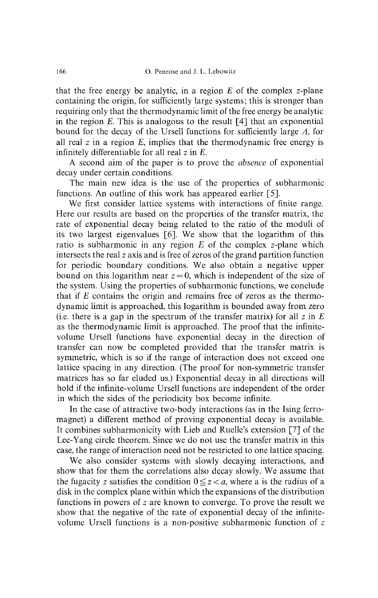that the free energy be analytic, in a region *E* of the complex z-plane containing the origin, for sufficiently large systems; this is stronger than requiring only that the thermodynamic limit of the free energy be analytic in the region *E.* This is analogous to the result [4] that an exponential bound for the decay of the Ursell functions for sufficiently large *Λ,* for all real z in a region *E,* implies that the thermodynamic free energy is infinitely differentiable for all real z in *E.*

A second aim of the paper is to prove the *absence* of exponential decay under certain conditions.

The main new idea is the use of the properties of subharmonic functions. An outline of this work has appeared earlier [5].

We first consider lattice systems with interactions of finite range. Here our results are based on the properties of the transfer matrix, the rate of exponential decay being related to the ratio of the moduli of its two largest eigenvalues [6]. We show that the logarithm of this ratio is subharmonic in any region *E* of the complex z-plane which intersects the real z axis and is free of zeros of the grand partition function for periodic boundary conditions. We also obtain a negative upper bound on this logarithm near  $z = 0$ , which is independent of the size of the system. Using the properties of subharmonic functions, we conclude that if *E* contains the origin and remains free of zeros as the thermo dynamic limit is approached, this logarithm is bounded away from zero (i.e. there is a gap in the spectrum of the transfer matrix) for all  $z$  in  $E$ as the thermodynamic limit is approached. The proof that the infinite volume Ursell functions have exponential decay in the direction of transfer can now be completed provided that the transfer matrix is symmetric, which is so if the range of interaction does not exceed one lattice spacing in any direction. (The proof for non-symmetric transfer matrices has so far eluded us.) Exponential decay in all directions will hold if the infinite-volume Ursell functions are independent of the order in which the sides of the periodicity box become infinite.

In the case of attractive two-body interactions (as in the Ising ferro magnet) a different method of proving exponential decay is available. It combines subharmonicity with Lieb and Ruelle's extension [7] of the Lee-Yang circle theorem. Since we do not use the transfer matrix in this case, the range of interaction need not be restricted to one lattice spacing.

We also consider systems with slowly decaying interactions, and show that for them the correlations also decay slowly. We assume that the fugacity z satisfies the condition  $0 \le z < a$ , where a is the radius of a disk in the complex plane within which the expansions of the distribution functions in powers of  $z$  are known to converge. To prove the result we show that the negative of the rate of exponential decay of the infinite volume Ursell functions is a non-positive subharmonic function of z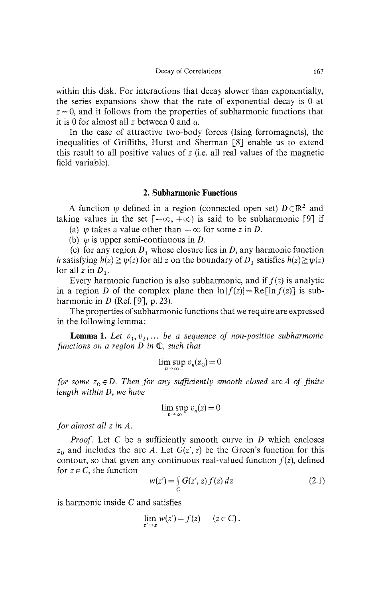within this disk. For interactions that decay slower than exponentially, the series expansions show that the rate of exponential decay is 0 at  $z = 0$ , and it follows from the properties of subharmonic functions that it is 0 for almost all z between 0 and *a.*

In the case of attractive two-body forces (Ising ferromagnets), the inequalities of Griffiths, Hurst and Sherman [8] enable us to extend this result to all positive values of z (i.e. all real values of the magnetic field variable).

## **2. Subharmonic Functions**

A function  $\psi$  defined in a region (connected open set)  $D \subset \mathbb{R}^2$  and taking values in the set  $[-\infty, +\infty)$  is said to be subharmonic [9] if

(a) *w* takes a value other than  $-\infty$  for some *z* in *D*.

(b) *ψ* is upper semi-continuous in *D.*

(c) for any region  $D_1$  whose closure lies in  $D$ , any harmonic function *h* satisfying  $h(z) \ge \psi(z)$  for all z on the boundary of  $D_1$  satisfies  $h(z) \ge \psi(z)$ for all z in  $D_1$ .

Every harmonic function is also subharmonic, and if  $f(z)$  is analytic in a region *D* of the complex plane then  $\ln |f(z)| = \text{Re}[\ln f(z)]$  is subharmonic in *D* (Ref. [9], p. 23).

The properties of subharmonic functions that we require are expressed in the following lemma:

**Lemma 1.** Let  $v_1, v_2, \ldots$  be a sequence of non-positive subharmonic *functions on a region D in*  $\mathbb{C}$ *, such that* 

$$
\limsup_{n \to \infty} v_n(z_0) = 0
$$

*for some*  $z_0 \in D$ . Then for any sufficiently smooth closed arc A of finite *length within* D, *we have*

$$
\limsup_{n \to \infty} v_n(z) = 0
$$

*for almost all z in A.*

*Proof.* Let C be a sufficiently smooth curve in *D* which encloses  $z_0$  and includes the arc A. Let  $G(z', z)$  be the Green's function for this contour, so that given any continuous real-valued function  $f(z)$ , defined for  $z \in C$ , the function

$$
w(z') = \int_C G(z', z) f(z) dz
$$
 (2.1)

is harmonic inside *C* and satisfies

$$
\lim_{z' \to z} w(z') = f(z) \qquad (z \in C) .
$$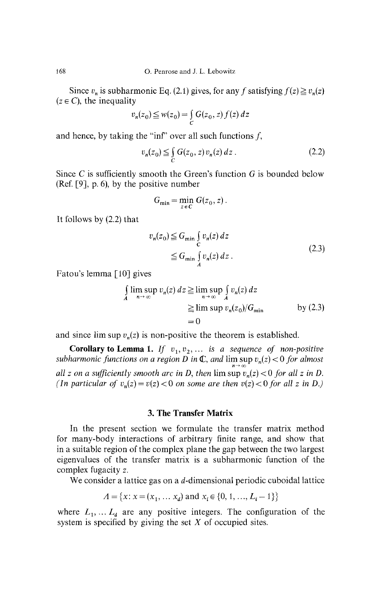Since  $v_n$  is subharmonic Eq. (2.1) gives, for any f satisfying  $f(z) \ge v_n(z)$  $(z \in C)$ , the inequality

$$
v_n(z_0) \leqq w(z_0) = \int\limits_C G(z_0, z) f(z) dz
$$

and hence, by taking the "inf" over all such functions  $f$ ,

$$
v_n(z_0) \leq \int_C G(z_0, z) v_n(z) dz . \tag{2.2}
$$

Since C is sufficiently smooth the Green's function  $G$  is bounded below (Ref. [9], p. 6), by the positive number

$$
G_{\min} = \min_{z \in C} G(z_0, z).
$$

It follows by (2.2) that

$$
v_n(z_0) \leq G_{\min} \int_C v_n(z) dz
$$
  
 
$$
\leq G_{\min} \int_A v_n(z) dz.
$$
 (2.3)

Fatou's lemma [10] gives

$$
\int_{A} \limsup_{n \to \infty} v_n(z) dz \ge \limsup_{n \to \infty} \int_{A} v_n(z) dz
$$
\n
$$
\ge \limsup_{n \to \infty} v_n(z_0) / G_{\min} \qquad \qquad \text{by (2.3)}
$$
\n
$$
= 0
$$

and since  $\limsup v_n(z)$  is non-positive the theorem is established.

**Corollary to Lemma 1.** If  $v_1, v_2, \ldots$  is a sequence of non-positive *subharmonic functions on a region D in* C, *and* lim sup *v<sup>n</sup> (z) <* 0 *for almost n->* oo *all z on a sufficiently smooth arc in D, then*  $\limsup v_n(z) < 0$  *for all z in D. (In particular of*  $v_n(z) = v(z) < 0$  *on some are then*  $v(z) < 0$  *for all z in D.)* 

# **3. The Transfer Matrix**

In the present section we formulate the transfer matrix method for many-body interactions of arbitrary finite range, and show that in a suitable region of the complex plane the gap between the two largest eigenvalues of the transfer matrix is a subharmonic function of the complex fugacity z.

We consider a lattice gas on a d-dimensional periodic cuboidal lattice

$$
\Lambda = \{x : x = (x_1, \dots, x_d) \text{ and } x_i \in \{0, 1, \dots, L_i - 1\}\}
$$

where  $L_1, \ldots, L_d$  are any positive integers. The configuration of the system is specified by giving the set *X* of occupied sites.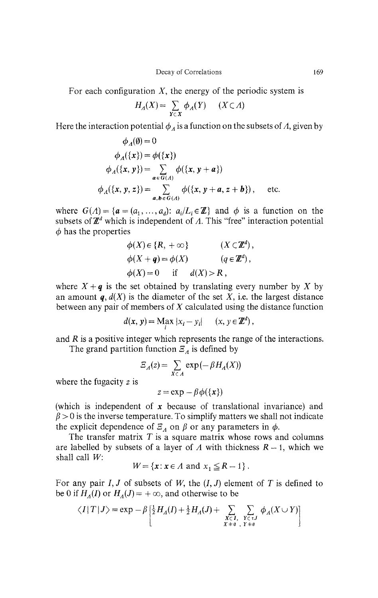For each configuration *X,* the energy of the periodic system is

$$
H_A(X) = \sum_{Y \subset X} \phi_A(Y) \quad (X \subset A)
$$

Here the interaction potential  $\phi_A$  is a function on the subsets of A, given by

$$
\phi_{A}(\emptyset) = 0
$$
\n
$$
\phi_{A}(\{x\}) = \phi(\{x\})
$$
\n
$$
\phi_{A}(\{x, y\}) = \sum_{a \in G(A)} \phi(\{x, y + a\})
$$
\n
$$
\phi_{A}(\{x, y, z\}) = \sum_{a, b \in G(A)} \phi(\{x, y + a, z + b\}), \text{ etc.}
$$

where  $G(\Lambda) = \{a = (a_1, ..., a_d): a_i / L_i \in \mathbb{Z}\}\$ and  $\phi$  is a function on the subsets of  $\mathbb{Z}^d$  which is independent of A. This "free" interaction potential  $\phi$  has the properties

$$
\phi(X) \in \{R, +\infty\} \qquad (X \subset \mathbb{Z}^d),
$$
  
\n
$$
\phi(X + q) = \phi(X) \qquad (q \in \mathbb{Z}^d),
$$
  
\n
$$
\phi(X) = 0 \qquad \text{if} \qquad d(X) > R,
$$

where  $X + q$  is the set obtained by translating every number by X by an amount  $q, d(X)$  is the diameter of the set X, i.e. the largest distance between any pair of members of *X* calculated using the distance function

$$
d(\mathbf{x}, \mathbf{y}) = \mathbf{M}_{i} \mathbf{x} \, |x_{i} - y_{i}| \quad (x, y \in \mathbb{Z}^{d}),
$$

and *R* is a positive integer which represents the range of the interactions.

The grand partition function  $\mathcal{Z}_\lambda$  is defined by

$$
\Xi_A(z) = \sum_{X \subset A} \exp(-\beta H_A(X))
$$

where the fugacity *z* is

$$
z = \exp - \beta \phi(\{x\})
$$

(which is independent of *x* because of translational invariance) and  $\beta$  > 0 is the inverse temperature. To simplify matters we shall not indicate the explicit dependence of  $\mathcal{Z}_A$  on  $\beta$  or any parameters in  $\phi$ .

The transfer matrix *T* is a square matrix whose rows and columns are labelled by subsets of a layer of A with thickness  $R - 1$ , which we shall call *W:*

$$
W = \{x : x \in A \text{ and } x_1 \le R - 1\}.
$$

For any pair  $I, J$  of subsets of  $W$ , the  $(I, J)$  element of  $T$  is defined to be 0 if  $H_A(I)$  or  $H_A(J) = +\infty$ , and otherwise to be

$$
\langle I | T | J \rangle = \exp - \beta \left[ \frac{1}{2} H_A(I) + \frac{1}{2} H_A(J) + \sum_{\substack{X \subset I, \\ X + \theta, Y + \theta}} \sum_{\substack{Y \subset \tau, \\ Y + \theta}} \phi_A(X \cup Y) \right]
$$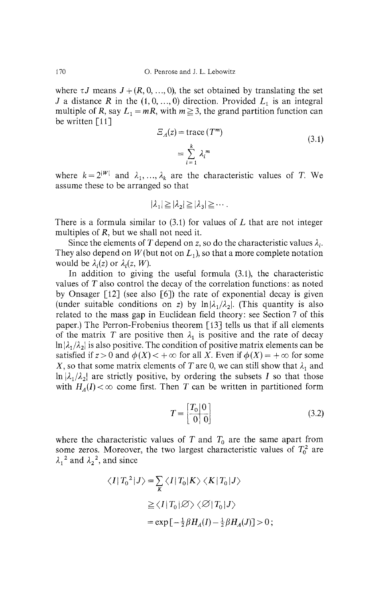where  $\tau J$  means  $J + (R, 0, ..., 0)$ , the set obtained by translating the set *J* a distance *R* in the  $(1, 0, \ldots, 0)$  direction. Provided  $L_1$  is an integral multiple of *R*, say  $L_1 = mR$ , with  $m \geq 3$ , the grand partition function can be written [11]

$$
E_{A}(z) = \text{trace} (T^{m})
$$
  
= 
$$
\sum_{i=1}^{k} \lambda_{i}^{m}
$$
 (3.1)

where  $k = 2^{|W|}$  and  $\lambda_1, \ldots, \lambda_k$  are the characteristic values of T. We assume these to be arranged so that

$$
|\lambda_1| \geq |\lambda_2| \geq |\lambda_3| \geq \cdots
$$

There is a formula similar to (3.1) for values of *L* that are not integer multiples of *R,* but we shall not need it.

Since the elements of T depend on *z*, so do the characteristic values  $\lambda_i$ . They also depend on  $W$  (but not on  $L_1$ ), so that a more complete notation would be  $\lambda_i(z)$  or  $\lambda_i(z, W)$ .

In addition to giving the useful formula (3.1), the characteristic values of *T* also control the decay of the correlation functions: as noted by Onsager [12] (see also [6]) the rate of exponential decay is given (under suitable conditions on z) by  $\ln |\lambda_1/\lambda_2|$ . (This quantity is also related to the mass gap in Euclidean field theory: see Section 7 of this paper.) The Perron-Frobenius theorem [13] tells us that if all elements of the matrix T are positive then  $\lambda_1$  is positive and the rate of decay  $\ln |\lambda_1/\lambda_2|$  is also positive. The condition of positive matrix elements can be satisfied if  $z > 0$  and  $\phi(X) < +\infty$  for all X. Even if  $\phi(X) = +\infty$  for some *X*, so that some matrix elements of *T* are 0, we can still show that  $\lambda_1$  and  $\ln |\lambda_1/\lambda_2|$  are strictly positive, by ordering the subsets *I* so that those with  $H_A(I) < \infty$  come first. Then T can be written in partitioned form

$$
T = \begin{bmatrix} T_0 | 0 \\ \hline 0 | 0 \end{bmatrix} \tag{3.2}
$$

where the characteristic values of  $T$  and  $T_0$  are the same apart from some zeros. Moreover, the two largest characteristic values of  $T_0^2$  are  $\lambda_1^2$  and  $\lambda_2^2$ , and since

$$
\langle I | T_0^2 | J \rangle = \sum_{K} \langle I | T_0 | K \rangle \langle K | T_0 | J \rangle
$$
  
\n
$$
\geq \langle I | T_0 | \emptyset \rangle \langle \emptyset | T_0 | J \rangle
$$
  
\n
$$
= \exp \left[ -\frac{1}{2} \beta H_A(I) - \frac{1}{2} \beta H_A(J) \right] > 0 ;
$$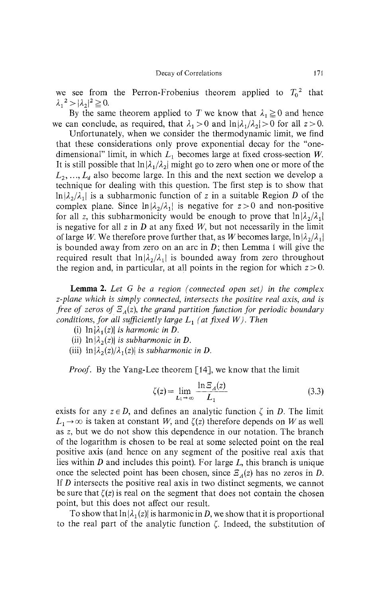we see from the Perron-Frobenius theorem applied to  $T_0^2$  that  $\lambda_1^2 > |\lambda_2|^2 \ge 0.$ <br>**Due** the same **|**

By the same theorem applied to T we know that  $\lambda_1 \geq 0$  and hence we can conclude, as required, that  $\lambda_1 > 0$  and  $\ln|\lambda_1/\lambda_2| > 0$  for all  $z > 0$ .

Unfortunately, when we consider the thermodynamic limit, we find that these considerations only prove exponential decay for the "one dimensional" limit, in which *L<sup>x</sup>* dimensional" limit, in which  $L_1$  becomes large at fixed cross-section W. It is still possible that  $\ln|\lambda_1/\lambda_2|$  might go to zero when one or more of the  $L_2, ..., L_d$  also become large. In this and the next section we develop a<br>training for dealing with this second as The first stan is to show that technique for dealing with this question. The first step is to show that  $\ln|A_2/A_1|$  is a subharmonic function of z in a suitable Region *D* of the complex plane. Since  $\prod_{i=1}^{\infty} \frac{\lambda_2}{\lambda_1}$  is negative for  $z > 0$  and non-positive for all z, this subharmonicity would be enough to prove that  $\ln |\lambda_2/\lambda_1|$ | is negative for all z in  $D$  at any fixed  $W$ , but not necessarily in the limit of large W. We therefore prove further that, as W becomes large,  $\ln |\lambda_2/\lambda_1|$ is bounded away from zero on an arc in  $D$ ; then Lemma 1 will give the required result that  $\ln |v_2/v_1|$  is bounded away from zero throughout the region and, in particular, at all points in the region for which  $z > 0$ .

**Lemma 2.** *Let G be a region (connected open set) in the complex z-plane which is simply connected, intersects the positive real axis, and is free of zeros of Ξ (z), the grand partition function for periodic boundary conditions, for all sufficiently large*  $L_1$  (at fixed W). Then

- (i)  $\ln |\lambda_1(z)|$  *is harmonic in D.*
- (ii)  $\ln |\lambda_2(z)|$  is subharmonic in D.
- (iii)  $\ln |\lambda_2(z)/\lambda_1(z)|$  is subharmonic in D.

*Proof.* By the Yang-Lee theorem [14], we know that the limit

$$
\zeta(z) = \lim_{L_1 \to \infty} \frac{\ln \Xi_A(z)}{L_1} \tag{3.3}
$$

exists for any  $z \in D$ , and defines an analytic function  $\zeta$  in D. The limit  $L_1 \rightarrow \infty$  is taken at constant *W*, and  $\zeta(z)$  therefore depends on *W* as well as z, but we do not show this dependence in our notation. The branch of the logarithm is chosen to be real at some selected point on the real positive axis (and hence on any segment of the positive real axis that lies within *D* and includes this point). For large L, this branch is unique once the selected point has been chosen, since  $\mathcal{Z}_4(z)$  has no zeros in *D*. If *D* intersects the positive real axis in two distinct segments, we cannot be sure that  $\zeta(z)$  is real on the segment that does not contain the chosen point, but this does not affect our result.

To show that  $\ln |\lambda_1(z)|$  is harmonic in D, we show that it is proportional to the real part of the analytic function *ζ.* Indeed, the substitution of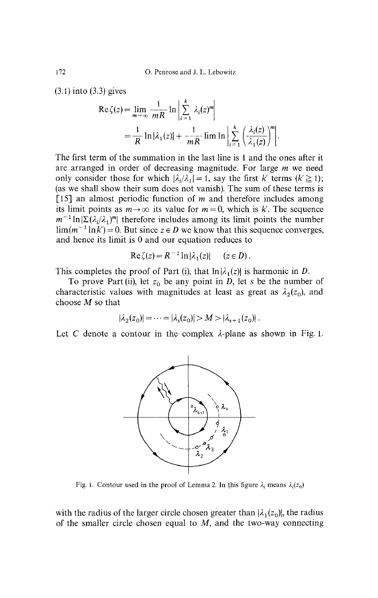(3.1) into (3.3) gives

$$
\operatorname{Re}\zeta(z) = \lim_{m \to \infty} \frac{1}{mR} \ln \left| \sum_{i=1}^{k} \lambda_i(z)^m \right|
$$
  
=  $\frac{1}{R} \ln |\lambda_1(z)| + \frac{1}{mR} \lim \ln \left| \sum_{i=1}^{k} \left( \frac{\lambda_i(z)}{\lambda_1(z)} \right)^m \right|.$ 

The first term of the summation in the last line is 1 and the ones after it are arranged in order of decreasing magnitude. For large *m* we need only consider those for which  $|\lambda_i/\lambda_1| = 1$ , say the first k' terms  $(k' \ge 1)$ ; (as we shall show their sum does not vanish). The sum of these terms is [15] an almost periodic function of  $m$  and therefore includes among its limit points as  $m \to \infty$  its value for  $m = 0$ , which is k'. The sequence  $m^{-1}\ln|\Sigma(\lambda_i/\lambda_j)^m|$  therefore includes among its limit points the number  $\lim_{m \to \infty} (m^{-1} \ln k) = 0$ . But since  $z \in D$  we know that this sequence converges, and hence its limit is 0 and our equation reduces to

$$
\operatorname{Re}\zeta(z) = R^{-1}\ln|\lambda_1(z)| \quad (z \in D).
$$

This completes the proof of Part (i), that  $ln|\lambda_1(z)|$  is harmonic in *D*.

To prove Part (ii), let *z<sup>0</sup>* be any point in D, let *s* be the number of characteristic values with magnitudes at least as great as  $\lambda_2(z_0)$ , and choose M so that

$$
|\lambda_2(z_0)| = \dots = |\lambda_s(z_0)| > M > |\lambda_{s+1}(z_0)|.
$$

Let C denote a contour in the complex  $\lambda$ -plane as shown in Fig. 1.



Fig. 1. Contour used in the proof of Lemma 2. In this figure  $\lambda_i$  means  $\lambda_i(z_0)$ 

with the radius of the larger circle chosen greater than  $|\lambda_1(z_0)|$ , the radius of the smaller circle chosen equal to  $M$ , and the two-way connecting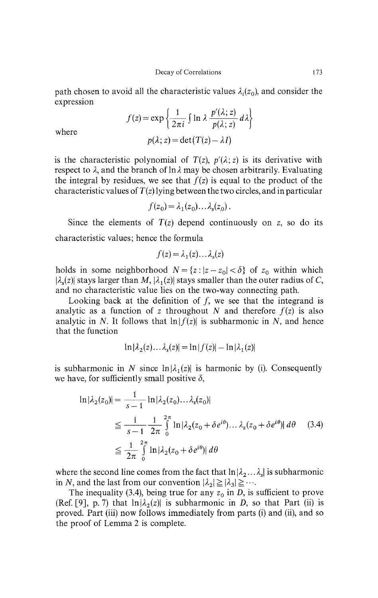path chosen to avoid all the characteristic values  $\lambda_i(z_0)$ , and consider the expression

$$
f(z) = \exp\left\{\frac{1}{2\pi i} \int \ln \lambda \frac{p'(\lambda; z)}{p(\lambda; z)} d\lambda \right\}
$$

$$
p(\lambda; z) = \det(T(z) - \lambda I)
$$

where

is the characteristic polynomial of  $T(z)$ ,  $p'(\lambda; z)$  is its derivative with respect to *λ,* and the branch of In *λ* may be chosen arbitrarily. Evaluating the integral by residues, we see that  $f(z)$  is equal to the product of the characteristic values of *T(z)* lying between the two circles, and in particular

$$
f(z_0) = \lambda_1(z_0) \dots \lambda_s(z_0) \, .
$$

Since the elements of  $T(z)$  depend continuously on z, so do its characteristic values; hence the formula

$$
f(z) = \lambda_1(z) \dots \lambda_s(z)
$$

holds in some neighborhood  $N = \{z : |z - z_0| < \delta\}$  of  $z_0$  within which  $|\lambda_{s}(z)|$  stays larger than M,  $|\lambda_{1}(z)|$  stays smaller than the outer radius of C, and no characteristic value lies on the two-way connecting path.

Looking back at the definition of  $f$ , we see that the integrand is analytic as a function of z throughout N and therefore  $f(z)$  is also analytic in N. It follows that  $\ln |f(z)|$  is subharmonic in N, and hence that the function

$$
\ln|\lambda_2(z)\dots\lambda_s(z)| = \ln|f(z)| - \ln|\lambda_1(z)|
$$

is subharmonic in N since  $\ln |\lambda_1(z)|$  is harmonic by (i). Consequently we have, for sufficiently small positive  $\delta$ ,

$$
\ln|\lambda_2(z_0)| = \frac{1}{s-1} \ln |\lambda_2(z_0) \dots \lambda_s(z_0)|
$$
  
\n
$$
\leq \frac{1}{s-1} \frac{1}{2\pi} \int_0^{2\pi} \ln |\lambda_2(z_0 + \delta e^{i\theta}) \dots \lambda_s(z_0 + \delta e^{i\theta})| d\theta
$$
 (3.4)  
\n
$$
\leq \frac{1}{2\pi} \int_0^{2\pi} \ln |\lambda_2(z_0 + \delta e^{i\theta})| d\theta
$$

where the second line comes from the fact that  $\ln |\lambda_2 ... \lambda_s|$  is subharmonic in *N*, and the last from our convention  $|\lambda_2| \geq |\lambda_3| \geq \cdots$ .

The inequality (3.4), being true for any  $z_0$  in D, is sufficient to prove (Ref. [9], p. 7) that  $\ln |\lambda_2(z)|$  is subharmonic in D, so that Part (ii) is proved. Part (iii) now follows immediately from parts (i) and (ii), and so the proof of Lemma 2 is complete.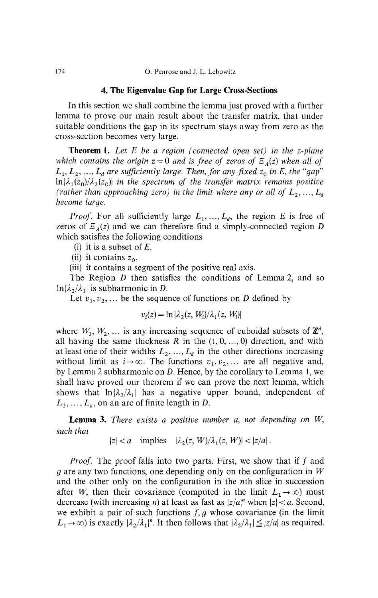### **4. The Eigenvalue Gap for Large Cross-Sections**

In this section we shall combine the lemma just proved with a further lemma to prove our main result about the transfer matrix, that under suitable conditions the gap in its spectrum stays away from zero as the cross-section becomes very large.

**Theorem 1.** *Let E be a region (connected open set) in the z-plane which contains the origin z* = 0 *and is free of zeros of*  $\mathbb{E}_A(z)$  *when all of*  $L_1, L_2, ..., L_d$  are sufficiently large. Then, for any fixed  $z_0$  in E, the "gap"  $\ln|\lambda_1(z_0)/\lambda_2(z_0)|$  in the spectrum of the transfer matrix remains positive *(rather than approaching zero) in the limit where any or all of*  $L_2, ..., L_d$ *become large.*

*Proof.* For all sufficiently large  $L_1, \ldots, L_d$ , the region E is free of zeros of *Ξ (z)* and we can therefore find a simply-connected region *D* which satisfies the following conditions

- (i) it is a subset of  $E$ ,
- (ii) it contains  $z_0$ ,
- (iii) it contains a segment of the positive real axis.

The Region *D* then satisfies the conditions of Lemma 2, and so  $\ln |\lambda_2/\lambda_1|$  is subharmonic in *D*.

Let  $v_1, v_2, \ldots$  be the sequence of functions on *D* defined by

$$
v_i(z) = \ln |\lambda_2(z, W_i)/\lambda_1(z, W_i)|
$$

where  $W_1, W_2, \ldots$  is any increasing sequence of cuboidal subsets of  $\mathbb{Z}^d$ , all having the same thickness *R* in the (1,0, ...,0) direction, and with at least one of their widths  $L_2, ..., L_d$  in the other directions increasing without limit as  $i \rightarrow \infty$ . The functions  $v_1, v_2, \dots$  are all negative and, by Lemma 2 subharmonic on *D.* Hence, by the corollary to Lemma 1, we shall have proved our theorem if we can prove the next lemma, which shows that  $\ln\{\lambda_2/\lambda_1\}$  has a negative upper bound, independent of  $L_2, \ldots, L_d$ , on an arc of finite length in *D*.

**Lemma 3.** *There exists a positive number* α, *not depending on W, such that*

 $|z| < a$  implies  $|\lambda_2(z, W)/\lambda_1(z, W)| < |z/a|$ .

*Proof.* The proof falls into two parts. First, we show that if  $f$  and *g* are any two functions, one depending only on the configuration in *W* and the other only on the configuration in the *nth* slice in succession after *W*, then their covariance (computed in the limit  $L_1 \rightarrow \infty$ ) must decrease (with increasing *n*) at least as fast as  $|z/a|^n$  when  $|z| < a$ . Second, we exhibit a pair of such functions  $f, g$  whose covariance (in the limit  $L_1 \rightarrow \infty$ ) is exactly  $|\lambda_2/\lambda_1|^n$ . It then follows that  $|\lambda_2/\lambda_1| \leq |z/a|$  as required.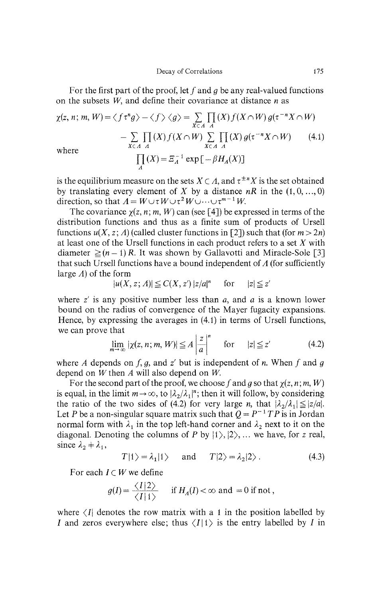For the first part of the proof, let f and g be any real-valued functions on the subsets *W,* and define their covariance at distance *n* as

$$
\chi(z, n; m, W) = \langle f\tau^n g \rangle - \langle f \rangle \langle g \rangle = \sum_{X \subset A} \prod_A (X) f(X \cap W) g(\tau^{-n} X \cap W)
$$
  

$$
- \sum_{X \subset A} \prod_A (X) f(X \cap W) \sum_{X \subset A} \prod_A (X) g(\tau^{-n} X \cap W) \qquad (4.1)
$$
  
where  

$$
\prod_A (X) = \mathbb{E}_A^{-1} \exp[-\beta H_A(X)]
$$

is the equilibrium measure on the sets  $X \subset A$ , and  $\tau^{\pm n}X$  is the set obtained by translating every element of X by a distance  $nR$  in the  $(1,0, ..., 0)$ direction, so that  $A = W \cup \tau W \cup \tau^2 W \cup \cdots \cup \tau^{m-1} W$ .

The covariance  $\chi(z, n; m, W)$  can (see [4]) be expressed in terms of the distribution functions and thus as a finite sum of products of Ursell functions  $u(X, z; A)$  (called cluster functions in [2]) such that (for  $m > 2n$ ) at least one of the Ursell functions in each product refers to a set *X* with diameter  $\geq (n-1)R$ . It was shown by Gallavotti and Miracle-Sole [3] that such Ursell functions have a bound independent of *A* (for sufficiently large *A)* of the form

$$
|u(X, z; A)| \leq C(X, z') |z/a|^n \quad \text{for} \quad |z| \leq z'
$$

where *z'* is any positive number less than α, and *α* is a known lower bound on the radius of convergence of the Mayer fugacity expansions. Hence, by expressing the averages in (4.1) in terms of Ursell functions, we can prove that

$$
\lim_{m \to \infty} |\chi(z, n; m, W)| \leq A \left| \frac{z}{a} \right|^n \quad \text{for} \quad |z| \leq z' \tag{4.2}
$$

where *A* depends on  $f$ ,  $g$ , and  $z'$  but is independent of *n*. When  $f$  and  $g$ depend on *W* then *A* will also depend on *W.*

For the second part of the proof, we choose f and g so that  $\chi(z, n; m, W)$ is equal, in the limit  $m \rightarrow \infty$ , to  $|\lambda_2/\lambda_1|^n$ ; then it will follow, by considering the ratio of the two sides of (4.2) for very large *n*, that  $|\lambda_2/\lambda_1| \leq |z/a|$ . Let *P* be a non-singular square matrix such that  $Q = P^{-1}TP$  is in Jordan normal form with  $\lambda_1$  in the top left-hand corner and  $\lambda_2$  next to it on the diagonal. Denoting the columns of *P* by  $|1\rangle$ ,  $|2\rangle$ , ... we have, for *z* real, since  $\lambda_2 + \lambda_1$ ,

$$
T|1\rangle = \lambda_1|1\rangle \quad \text{and} \quad T|2\rangle = \lambda_2|2\rangle. \tag{4.3}
$$

For each  $I \subset W$  we define

$$
g(I) = \frac{\langle I | 2 \rangle}{\langle I | 1 \rangle} \quad \text{if } H_A(I) < \infty \text{ and } = 0 \text{ if not,}
$$

where  $\langle I \rangle$  denotes the row matrix with a 1 in the position labelled by I and zeros everywhere else; thus  $\langle I|1\rangle$  is the entry labelled by I in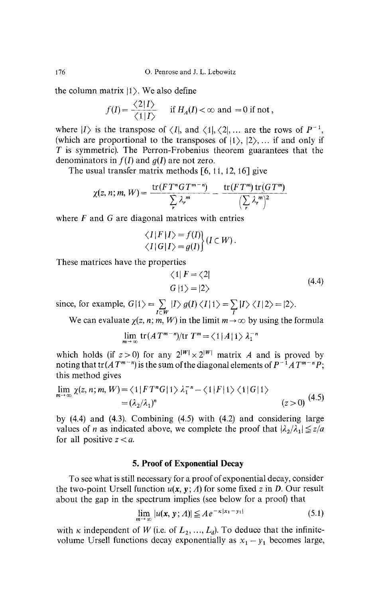176 O. Penrose and J. L. Lebowitz

the column matrix  $|1\rangle$ . We also define

$$
f(I) = \frac{\langle 2 | I \rangle}{\langle 1 | I \rangle}
$$
 if  $H_A(I) < \infty$  and = 0 if not,

where  $|I\rangle$  is the transpose of  $\langle I|$ , and  $\langle 1|, \langle 2|, \dots$  are the rows of  $P^{-1}$ , (which are proportional to the transposes of  $|1\rangle$ ,  $|2\rangle$ ,... if and only if *T* is symmetric). The Perron-Frobenius theorem guarantees that the denominators in  $f(I)$  and  $g(I)$  are not zero.

The usual transfer matrix methods  $[6, 11, 12, 16]$  give

$$
\chi(z,n;m,W)=\frac{\operatorname{tr}(FT^nGT^{m-n})}{\sum_r \lambda_r^m}-\frac{\operatorname{tr}(FT^m)\operatorname{tr}(GT^m)}{\left(\sum_r \lambda_r^m\right)^2}
$$

where  $F$  and  $G$  are diagonal matrices with entries

$$
\langle I|F|I\rangle = f(I) \langle I|G|I\rangle = g(I)\langle I|G|V\rangle.
$$

These matrices have the properties

$$
\begin{aligned} \langle 1 | F = \langle 2 | \\ G | 1 \rangle &= | 2 \rangle \end{aligned} \tag{4.4}
$$

since, for example,  $G|1\rangle = \sum_{I \subset W} |I\rangle g(I) \langle I|1\rangle = \sum_{I} |I\rangle \langle I|2\rangle = |2\rangle$ .

We can evaluate  $\chi(z, n; m, W)$  in the limit  $m \to \infty$  by using the formula

$$
\lim_{m \to \infty} \text{tr}(AT^{m-n})/\text{tr } T^m = \langle 1 | A | 1 \rangle \lambda_1^{-n}
$$

which holds (if  $z > 0$ ) for any  $2^{|W|} \times 2^{|W|}$  matrix A and is proved by noting that  $tr(AT^{m-n})$  is the sum of the diagonal elements of  $P^{-1}AT^{m-n}P$ this method gives

$$
\lim_{m \to \infty} \chi(z, n; m, W) = \langle 1 | FT^n G | 1 \rangle \lambda_1^{-n} - \langle 1 | F | 1 \rangle \langle 1 | G | 1 \rangle
$$
  
=  $(\lambda_2/\lambda_1)^n$  (z>0) (4.5)

by (4.4) and (4.3). Combining (4.5) with (4.2) and considering large values of *n* as indicated above, we complete the proof that  $|\lambda_2/\lambda_1| \leq z/a$ for all positive *z < a.*

# **5. Proof of Exponential Decay**

To see what is still necessary for a proof of exponential decay, consider the two-point Ursell function  $u(x, y; \Lambda)$  for some fixed z in D. Our result about the gap in the spectrum implies (see below for a proof) that

$$
\lim_{m \to \infty} |u(\mathbf{x}, \mathbf{y}; A)| \leq A e^{-\kappa |x_1 - y_1|}
$$
\n(5.1)

with  $\kappa$  independent of W (i.e. of  $L_2, ..., L_d$ ). To deduce that the infinite volume Ursell functions decay exponentially as  $x_1 - y_1$  becomes large,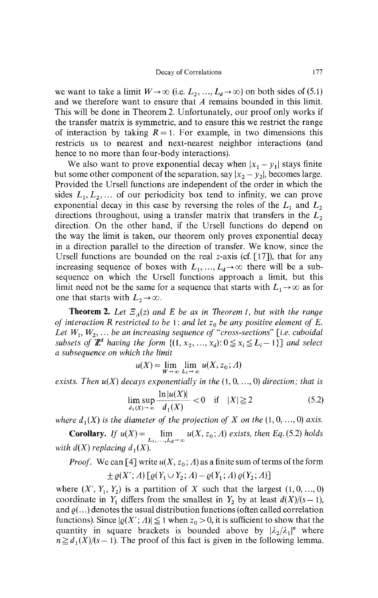we want to take a limit  $W \to \infty$  (i.e.  $L_2, ..., L_d \to \infty$ ) on both sides of (5.1) and we therefore want to ensure that *A* remains bounded in this limit. This will be done in Theorem 2. Unfortunately, our proof only works if the transfer matrix is symmetric, and to ensure this we restrict the range of interaction by taking  $R = 1$ . For example, in two dimensions this restricts us to nearest and next-nearest neighbor interactions (and hence to no more than four-body interactions).

We also want to prove exponential decay when  $|x_1 - y_1|$  stays finite but some other component of the separation, say  $|x_2 - y_2|$ , becomes large. Provided the Ursell functions are independent of the order in which the sides  $L_1, L_2, \ldots$  of our periodicity box tend to infinity, we can prove exponential decay in this case by reversing the roles of the  $L_1$  and  $L_2$ directions throughout, using a transfer matrix that transfers in the *L<sup>2</sup>* direction. On the other hand, if the Ursell functions do depend on the way the limit is taken, our theorem only proves exponential decay in a direction parallel to the direction of transfer. We know, since the Ursell functions are bounded on the real z-axis (cf.  $[17]$ ), that for any increasing sequence of boxes with  $L_1, ..., L_d \rightarrow \infty$  there will be a sub sequence on which the Ursell functions approach a limit, but this limit need not be the same for a sequence that starts with  $L_1 \rightarrow \infty$  as for one that starts with  $L_2 \rightarrow \infty$ .

**Theorem 2.** *Let Ξ (z) and E be as in Theorem 1, but with the range of interaction R restricted to be* 1: *and let z<sup>0</sup> be any positive element of E.* Let  $W_1, W_2, \ldots$  be an increasing sequence of "cross-sections" [i.e. cuboidal *subsets of*  $\mathbb{Z}^d$  having the form  $\{(1, x_2, ..., x_d): 0 \le x_i \le L_i - 1\}$  and select *a subsequence on which the limit*

$$
u(X) = \lim_{W \to \infty} \lim_{L_1 \to \infty} u(X, z_0; \Lambda)
$$

*exists. Then u(X) decays exponentially in the* (1,0,...,0) *direction; that is*

$$
\lim_{d_1(X) \to \infty} \frac{\ln |u(X)|}{d_1(X)} < 0 \quad \text{if} \quad |X| \ge 2 \tag{5.2}
$$

*where*  $d_1(X)$  *is the diameter of the projection of X on the*  $(1,0, \ldots, 0)$  axis.

**Corollary.** *If*  $u(X) = \lim_{x \to 0^+} u(X, z_0; A)$  exists, then Eq. (5.2) holds  $\mu_1, \ldots, L_d \rightarrow \infty$ *man d*(*x*), *replacing d*<sub>1</sub>(*x*).

*Proof.* We can  $\left[4\right]$  write  $u(A, z_0, A)$  as a finite sum of terms of the form

*<i><i>xx*</sub> *<i>x /<i>x***<sub>2</sub></del>** *x***<sub>***1***</sub>** *v***<sub>***1***</sub>** *d***<sub>***x***</sub>** *x***<sub>***1***</sub>** *d***<sub>***x***</sub>** *d***<sub>***x***</sub>** *d***<sub>***x***</sub>** *d***<sub>***x***</sub>** *d***<sub>***x***</sub>** *d***<sub>***x***</sub>** where  $(X, I_1, I_2)$  is a partition of *X* such that the largest  $(1, 0, ..., 0)$ coordinate in  $Y_1$  differs from the smallest in  $Y_2$  by at least  $a(X)/(s-1)$ , and  $\rho$ (...) denotes the usual distribution functions (often called correlation functions). Since  $\left|\mathcal{Q}(X; A)\right| \geq 1$  when  $z_0 > 0$ , it is sufficient to show that the quantity in square brackets is bounded above by  $|\lambda_2/\lambda_1|^n$  where  $n \geq d_1(X)/(s-1)$ . The proof of this fact is given in the following lemma.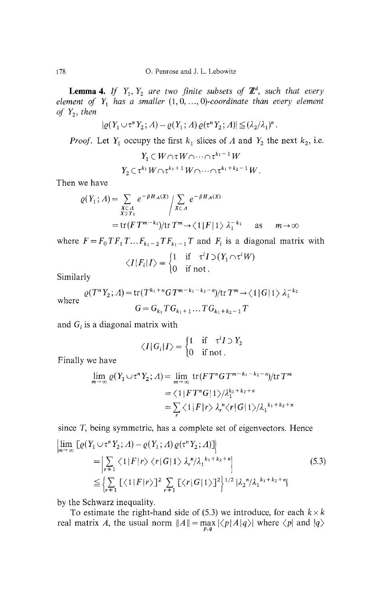**Lemma 4.** If  $Y_1, Y_2$  are two finite subsets of  $\mathbb{Z}^d$ , such that every *element of Y<sup>x</sup> has a smaller* (1,0, ...,0)-*coordinate than every element of* Y<sup>2</sup> , *then*

$$
|\varrho(Y_1 \cup \tau^n Y_2; \Lambda) - \varrho(Y_1; \Lambda) \varrho(\tau^n Y_2; \Lambda)| \leq (\lambda_2/\lambda_1)^n
$$

*Proof.* Let  $Y_1$  occupy the first  $k_1$  slices of A and  $Y_2$  the next  $k_2$ , i.e.

$$
Y_1 \subset W \cap \tau W \cap \dots \cap \tau^{k_1-1} W
$$
  

$$
Y_2 \subset \tau^{k_1} W \cap \tau^{k_1+1} W \cap \dots \cap \tau^{k_1+k_2-1} W.
$$

Then we have

$$
\varrho(Y_1; \Lambda) = \sum_{\substack{X \subset \Lambda \\ X \supset Y_1}} e^{-\beta H_A(X)} / \sum_{X \subset \Lambda} e^{-\beta H_A(X)}
$$
  
= tr(F T<sup>m-k</sup>)/tr T<sup>m</sup> \to \langle 1 | F | 1 \rangle \lambda\_1^{-k\_1} as m \to \infty

where  $F = F_0 T F_1 T \dots F_{k_1 - 2} T F_{k_1 - 1} T$  and  $F_i$  is a diagonal matrix with

$$
\langle I|F_i|I\rangle = \begin{cases} 1 & \text{if } \tau^i I \supset (Y_1 \cap \tau^i W) \\ 0 & \text{if not.} \end{cases}
$$

Similarly

where  
\n
$$
\varrho(T^{n}Y_{2}; \Lambda) = \text{tr}(T^{k_{1}+n}GT^{m-k_{1}-k_{2}-n})/\text{tr} T^{m} \to \langle 1 | G | 1 \rangle \lambda_{1}^{-k_{2}}
$$
\n
$$
G = G_{k_{1}} TG_{k_{1}+1} \dots TG_{k_{1}+k_{2}-1} T
$$

and  $G_i$  is a diagonal matrix with

$$
\langle I | G_i | I \rangle = \begin{cases} 1 & \text{if } \tau^i I \supset Y_2 \\ 0 & \text{if not.} \end{cases}
$$

Finally we have

$$
\lim_{m \to \infty} \varrho(Y_1 \cup \tau^n Y_2; \Lambda) = \lim_{m \to \infty} \text{tr}(FT^nGT^{m-k_1-k_2-n})/\text{tr } T^m
$$
  
=  $\langle 1 | FT^nG | 1 \rangle / \lambda_1^{k_1+k_2+n}$   
=  $\sum_r \langle 1 | F | r \rangle \lambda_r^n \langle r | G | 1 \rangle / \lambda_1^{k_1+k_2+n}$ 

since T, being symmetric, has a complete set of eigenvectors. Hence

$$
\lim_{m \to \infty} \left[ \varrho(Y_1 \cup \tau^n Y_2; \Lambda) - \varrho(Y_1; \Lambda) \varrho(\tau^n Y_2; \Lambda) \right] \n= \left| \sum_{r+1} \langle 1 | F | r \rangle \langle r | G | 1 \rangle \lambda_r^n / \lambda_1^{k_1 + k_2 + n} \right| \n\leq \left\{ \sum_{r+1} \left[ \langle 1 | F | r \rangle \right]^2 \sum_{r+1} \left[ \langle r | G | 1 \rangle \right]^2 \right\}^{1/2} |\lambda_2^n / \lambda_1^{k_1 + k_2 + n} |
$$
\n(5.3)

by the Schwarz inequality.

To estimate the right-hand side of (5.3) we introduce, for each  $k \times k$ real matrix *A*, the usual norm  $||A|| = \max_{p,q} |\langle p|A|q \rangle|$  where  $\langle p|$  and  $|q \rangle$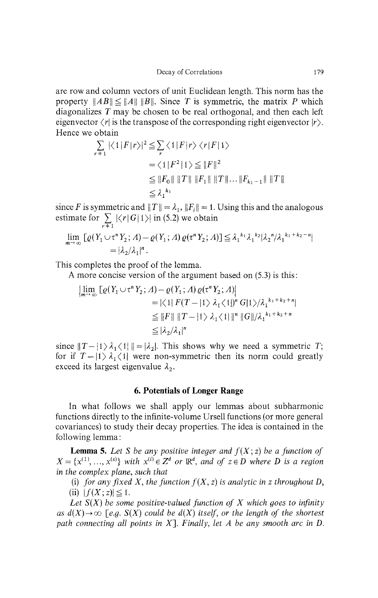are row and column vectors of unit Euclidean length. This norm has the property  $\|AB\| \leq \|A\| \|B\|$ . Since T is symmetric, the matrix P which diagonalizes *T* may be chosen to be real orthogonal, and then each left eigenvector  $\langle r \rangle$  is the transpose of the corresponding right eigenvector  $|r\rangle$ . Hence we obtain

$$
\sum_{r+1} |\langle 1|F|r\rangle|^2 \leq \sum_{r} \langle 1|F|r\rangle \langle r|F|1\rangle
$$
  
=  $\langle 1|F^2|1\rangle \leq ||F||^2$   
 $\leq ||F_0|| ||T|| ||F_1|| ||T|| \dots ||F_{k_1-1}|| ||T||$   
 $\leq \lambda_1^{k_1}$ 

since *F* is symmetric and  $||T|| = \lambda_1$ ,  $||F_i|| = 1$ . Using this and the analogous estimate for  $\sum_{r=1} |\langle r|G|1\rangle|$  in (5.2) we obtain

$$
\lim_{m\to\infty}\left[\varrho(Y_1\cup\tau^nY_2; \varLambda)-\varrho(Y_1; \varLambda)\varrho(\tau^nY_2; \varLambda)\right]\leq \lambda_1^{k_1}\lambda_1^{k_2}|\lambda_2^n/\lambda_1^{k_1+k_2-n}|
$$
  
=  $|\lambda_2/\lambda_1|^n$ .

This completes the proof of the lemma.

A more concise version of the argument based on (5.3) is this:

$$
\left|\lim_{m\to\infty}\left[\varrho(Y_1\cup\tau^nY_2; \varLambda)-\varrho(Y_1; \varLambda)\varrho(\tau^nY_2; \varLambda)\right|\right|
$$
  
=  $|\langle 1| F(T-|1\rangle \lambda_1 \langle 1|)^n G|1\rangle/\lambda_1^{k_1+k_2+n}|$   
 $\leq ||F|| ||T-|1\rangle \lambda_1 \langle 1| ||^n ||G||/\lambda_1^{k_1+k_2+n}$   
 $\leq |\lambda_2/\lambda_1|^n$ 

since  $\|T - \{1\} \lambda_1 \langle 1| \| = |\lambda_2|$ . This shows why we need a symmetric *T*; for if  $T - |1\rangle \lambda_1 \langle 1|$  were non-symmetric then its norm could greatly exceed its largest eigenvalue *λ<sup>2</sup> .*

## **6. Potentials of Longer Range**

In what follows we shall apply our lemmas about subharmonic functions directly to the infinite-volume Ursell functions (or more general covariances) to study their decay properties. The idea is contained in the following lemma:

**Lemma 5.** Let S be any positive integer and  $f(X; z)$  be a function of  $X = \{x^{(1)}, ..., x^{(s)}\}$  with  $x^{(i)} \in \mathbb{Z}^d$  or  $\mathbb{R}^d$ , and of  $z \in D$  where D is a region *in the complex plane, such that*

(i) for any fixed X, the function  $f(X, z)$  is analytic in z throughout D,

(ii)  $|f(X; z)| \leq 1$ .

*Let S(X) be some positive-valued function of X which goes to infinity as*  $d(X) \rightarrow \infty$  *[e.g. S(X) could be d(X) itself, or the length of the shortest path connecting all points in* X]. *Finally, let A be any smooth arc in D.*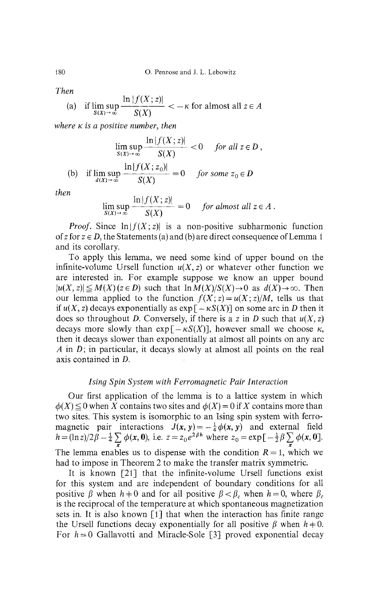*Then*

(a) if 
$$
\limsup_{S(X) \to \infty} \frac{\ln |f(X; z)|}{S(X)} < -\kappa
$$
 for almost all  $z \in A$ 

*\n\f(X;z)\*

*where K is a positive number, then*

$$
\lim_{S(X) \to \infty} \frac{\ln|f(X; z)|}{S(X)} < 0 \quad \text{for all } z \in D,
$$
  
(b) if 
$$
\lim_{d(X) \to \infty} \frac{\ln|f(X; z_0)|}{S(X)} = 0 \quad \text{for some } z_0 \in D
$$

*then*

$$
\lim_{S(X)\to\infty} \frac{\ln|f(X;z)|}{S(X)} = 0 \quad \text{for almost all } z \in A.
$$

*Proof.* Since  $\ln(f(X; z))$  is a non-positive subharmonic function of z for  $z \in D$ , the Statements (a) and (b) are direct consequence of Lemma 1 and its corollary.

To apply this lemma, we need some kind of upper bound on the infinite-volume Ursell function  $u(X, z)$  or whatever other function we are interested in. For example suppose we know an upper bound  $|u(X,z)| \le M(X)(z \in D)$  such that  $\ln M(X)/S(X) \to 0$  as  $d(X) \to \infty$ . Then our lemma applied to the function  $f(X; z) = u(X; z)/M$ , tells us that if  $u(X, z)$  decays exponentially as  $exp[-\kappa S(X)]$  on some arc in *D* then it does so throughout *D.* Conversely, if there is a z in *D* such that *u(X, z)* decays more slowly than  $exp[-\kappa S(X)]$ , however small we choose  $\kappa$ , then it decays slower than exponentially at almost all points on any arc *A* in *D;* in particular, it decays slowly at almost all points on the real axis contained in *D.*

# *Ising Spin System with Ferromagnetic Pair Interaction*

Our first application of the lemma is to a lattice system in which  $\phi(X) \leq 0$  when *X* contains two sites and  $\phi(X) = 0$  if *X* contains more than two sites. This system is isomorphic to an Ising spin system with ferro magnetic pair interactions  $J(x, y) = -\frac{1}{4}\phi(x, y)$  and external field *h* =  $(\ln z)/2\hat{\beta}-\frac{1}{4}\sum_{x}\phi(x,0)$ , i.e.  $z=z_0e^{2\beta h}$  where  $z_0 = \exp[-\frac{1}{2}\beta\sum_{x}\phi(x,0)]$ . The lemma enables us to dispense with the condition  $R = 1$ , which we had to impose in Theorem 2 to make the transfer matrix symmetric.

It is known [21] that the infinite-volume Ursell functions exist for this system and are independent of boundary conditions for all positive  $\beta$  when  $h \neq 0$  and for all positive  $\beta < \beta_c$  when  $h = 0$ , where  $\beta_c$ is the reciprocal of the temperature at which spontaneous magnetization sets in. It is also known [1] that when the interaction has finite range the Ursell functions decay exponentially for all positive  $\beta$  when  $h \neq 0$ . For *h = 0* Gallavotti and Miracle-Sole [3] proved exponential decay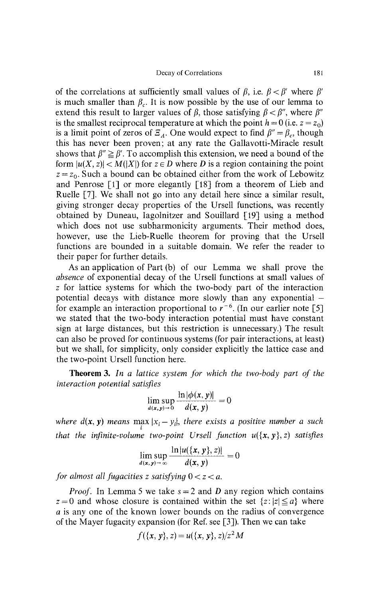Decay of Correlations 181

of the correlations at sufficiently small values of *β,* i.e. *β < β'* where *β'* is much smaller than  $\beta_c$ . It is now possible by the use of our lemma to extend this result to larger values of  $\beta$ , those satisfying  $\beta < \beta''$ , where  $\beta'$ is the smallest reciprocal temperature at which the point  $h = 0$  (i.e.  $z = z_0$ ) is a limit point of zeros of  $\overline{Z}_A$ . One would expect to find  $\beta'' = \beta_c$ , though this has never been proven; at any rate the Gallavotti-Miracle result shows that  $\beta'' \geq \beta'$ . To accomplish this extension, we need a bound of the form  $|u(X, z)| < M(|X|)$  for  $z \in D$  where *D* is a region containing the point  $z = z_0$ . Such a bound can be obtained either from the work of Lebowitz and Penrose [1] or more elegantly [18] from a theorem of Lieb and Ruelle [7]. We shall not go into any detail here since a similar result, giving stronger decay properties of the Ursell functions, was recently obtained by Duneau, Iagolnitzer and Souillard [19] using a method which does not use subharmonicity arguments. Their method does, however, use the Lieb-Ruelle theorem for proving that the Ursell functions are bounded in a suitable domain. We refer the reader to their paper for further details.

As an application of Part (b) of our Lemma we shall prove the *absence* of exponential decay of the Ursell functions at small values of z for lattice systems for which the two-body part of the interaction potential decays with distance more slowly than any exponential  $$ for example an interaction proportional to  $r^{-6}$ . (In our earlier note [5] we stated that the two-body interaction potential must have constant sign at large distances, but this restriction is unnecessary.) The result can also be proved for continuous systems (for pair interactions, at least) but we shall, for simplicity, only consider explicitly the lattice case and the two-point Ursell function here.

**Theorem 3.** *In a lattice system for which the two-body part of the interaction potential satisfies*

$$
\limsup_{d(x,y)\to 0}\frac{\ln|\phi(x,y)|}{d(x,y)}=0
$$

*where*  $d(x, y)$  means  $\max_i |x_i - y_i|$ , there exists a positive number a such *that the infinite-volume two-point Ursell function u({x,y},z) satisfies*

$$
\limsup_{d(x, y) \to \infty} \frac{\ln |u(\{x, y\}, z)|}{d(x, y)} = 0
$$

*d(x,y) for almost all fugacities z satisfying* 0 < z < α.

*Proof.* In Lemma 5 we take  $s = 2$  and D any region which contains  $z = 0$  and whose closure is contained within the set  $\{z : |z| \le a\}$  where *a* is any one of the known lower bounds on the radius of convergence of the Mayer fugacity expansion (for Ref. see [3]). Then we can take

$$
f({x, y}, z) = u({x, y}, z)/z2 M
$$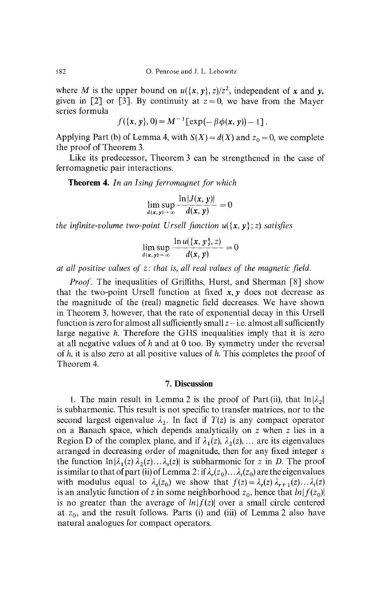where *M* is the upper bound on  $u({x, y}, z)/z^2$ , independent of x and y, given in [2] or [3]. By continuity at  $z = 0$ , we have from the Mayer series formula

$$
f({x, y}, 0) = M^{-1} [\exp(-\beta \phi(x, y)) - 1].
$$

Applying Part (b) of Lemma 4, with  $S(X) = d(X)$  and  $z_0 = 0$ , we complete the proof of Theorem 3.

Like its predecessor, Theorem 3 can be strengthened in the case of ferromagnetic pair interactions.

**Theorem 4.** *In an I sing ferromagnet for which*

$$
\limsup_{d(x, y) \to \infty} \frac{\ln |J(x, y)|}{d(x, y)} = 0
$$

*the infinite-volume two-point Ursell function*  $u(\{x, y\}; z)$  *satisfies* 

$$
\lim_{d(x,y)\to\infty}\frac{\ln u(\{x,y\},z)}{d(x,y)}=0
$$

*at all positive values of z: that* is, *all real values of the magnetic field.*

*Proof.* The inequalities of Griffiths, Hurst, and Sherman [8] show that the two-point Ursell function at fixed  $x, y$  does not decrease as the magnitude of the (real) magnetic field decreases. We have shown in Theorem 3, however, that the rate of exponential decay in this Ursell function is zero for almost all sufficiently small  $z$  – i.e. almost all sufficiently large negative *h.* Therefore the GHS inequalities imply that it is zero at all negative values of *h* and at 0 too. By symmetry under the reversal of *h,* it is also zero at all positive values of *h.* This completes the proof of Theorem 4.

### **7. Discussion**

1. The main result in Lemma 2 is the proof of Part(ii), that  $\ln|\lambda_2|$ | is subharmonic. This result is not specific to transfer matrices, nor to the second largest eigenvalue *λ<sup>2</sup> .* In fact if *T(z)* is any compact operator on a Banach space, which depends analytically on z when z lies in a Region D of the complex plane, and if  $\lambda_1(z)$ ,  $\lambda_2(z)$ , ... are its eigenvalues arranged in decreasing order of magnitude, then for any fixed integer s the function  $\ln |\lambda_1(z) \lambda_2(z) ... \lambda_s(z)|$  is subharmonic for z in D. The proof is similar to that of part (ii) of Lemma 2: if  $\lambda_r(z_0) \dots \lambda_t(z_0)$  are the eigenvalues with modulus equal to  $\lambda_s(z_0)$  we show that  $f(z) = \lambda_r(z) \lambda_{r+1}(z) \ldots \lambda_t(z)$ is an analytic function of *z* in some neighborhood  $z_0$ , hence that  $ln|f(z_0)|$ is no greater than the average of  $ln|f(z)|$  over a small circle centered at  $z_0$ , and the result follows. Parts (i) and (iii) of Lemma 2 also have natural analogues for compact operators.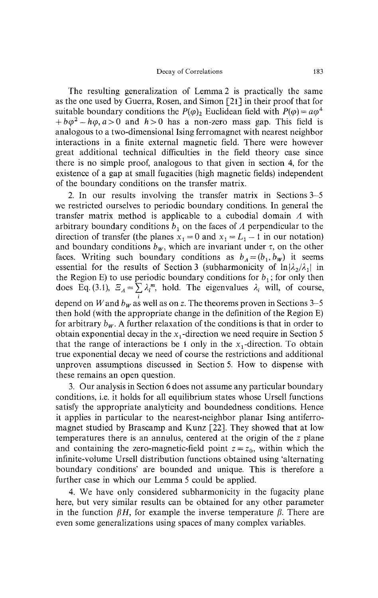The resulting generalization of Lemma 2 is practically the same as the one used by Guerra, Rosen, and Simon [21] in their proof that for suitable boundary conditions the  $P(\varphi)_2$  Euclidean field with  $P(\varphi) = a\varphi^4$  $h + b\varphi^2 - h\varphi$ ,  $a > 0$  and  $h > 0$  has a non-zero mass gap. This field is analogous to a two-dimensional Ising ferromagnet with nearest neighbor interactions in a finite external magnetic field. There were however great additional technical difficulties in the field theory case since there is no simple proof, analogous to that given in section 4, for the existence of a gap at small fugacities (high magnetic fields) independent of the boundary conditions on the transfer matrix.

2. In our results involving the transfer matrix in Sections 3-5 we restricted ourselves to periodic boundary conditions. In general the transfer matrix method is applicable to a cubodial domain *A* with arbitrary boundary conditions  $b<sub>1</sub>$  on the faces of  $A$  perpendicular to the direction of transfer (the planes  $x_1 = 0$  and  $x_1 = L_1 - 1$  in our notation) and boundary conditions  $b_w$ , which are invariant under  $\tau$ , on the other faces. Writing such boundary conditions as  $b_A = (b_1, b_w)$  it seems essential for the results of Section 3 (subharmonicity of  $\ln|\lambda_2/\lambda_1|$  in the Region E) to use periodic boundary conditions for  $b_1$ ; for only then does Eq. (3.1),  $\mathcal{Z}_A = \sum_i \lambda_i^m$ , hold. The eigenvalues  $\lambda_i$  will, of course, *i* depend on *W* and  $b_w$  as well as on z. The theorems proven in Sections 3–5 then hold (with the appropriate change in the definition of the Region E) for arbitrary  $b_w$ . A further relaxation of the conditions is that in order to obtain exponential decay in the  $x_1$ -direction we need require in Section 5 that the range of interactions be 1 only in the  $x_1$ -direction. To obtain true exponential decay we need of course the restrictions and additional unproven assumptions discussed in Section 5. How to dispense with these remains an open question.

3. Our analysis in Section 6 does not assume any particular boundary conditions, i.e. it holds for all equilibrium states whose Ursell functions satisfy the appropriate analyticity and boundedness conditions. Hence it applies in particular to the nearest-neighbor planar Ising antiferro magnet studied by Brascamp and Kunz [22]. They showed that at low temperatures there is an annulus, centered at the origin of the z plane and containing the zero-magnetic-field point  $z = z_0$ , within which the infinite-volume Ursell distribution functions obtained using 'alternating boundary conditions' are bounded and unique. This is therefore a further case in which our Lemma 5 could be applied.

4. We have only considered subharmonicity in the fugacity plane here, but very similar results can be obtained for any other parameter in the function *βH,* for example the inverse temperature *β.* There are even some generalizations using spaces of many complex variables.